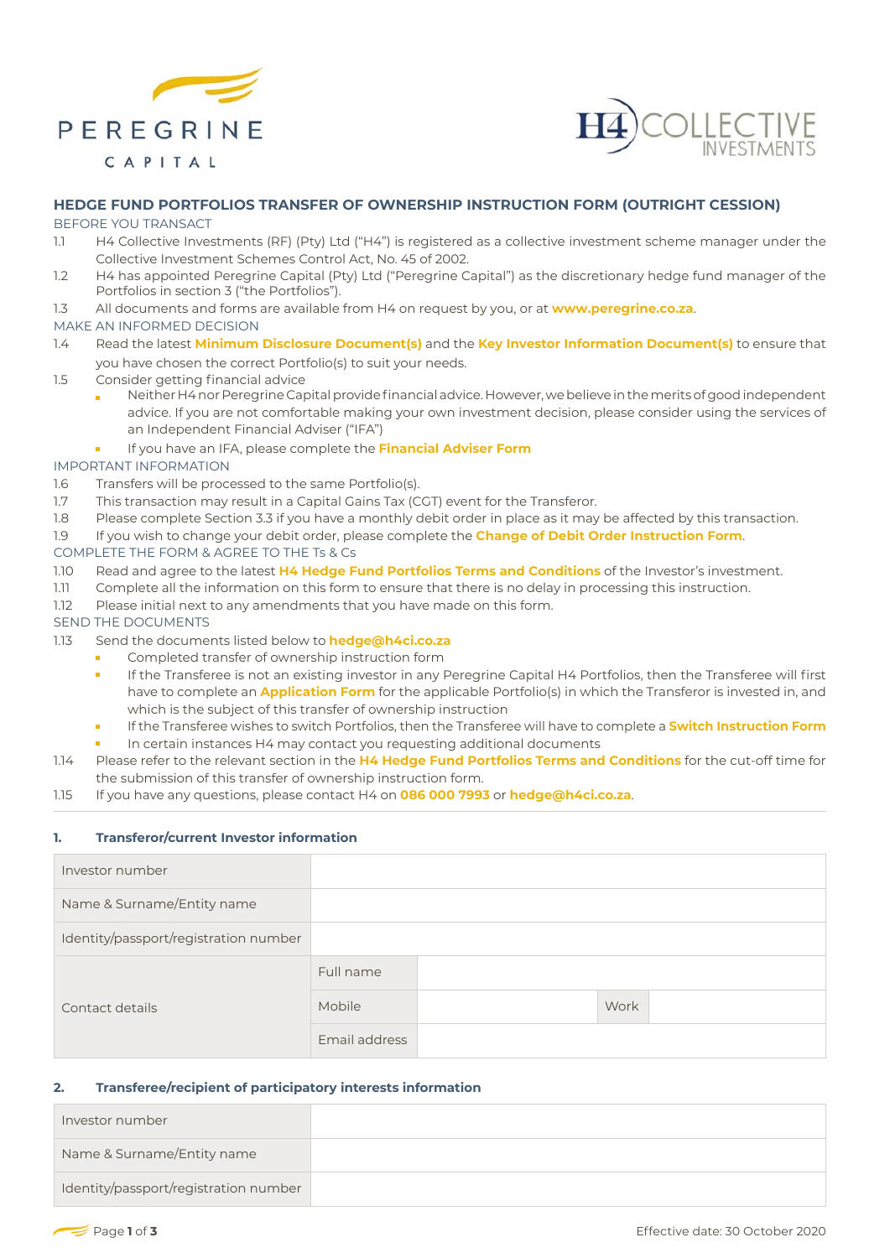



# **HEDGE FUND PORTFOLIOS TRANSFER OF OWNERSHIP INSTRUCTION FORM (OUTRIGHT CESSION)**

## BEFORE YOU TRANSACT

- 1.1 H4 Collective Investments (RF) (Pty) Ltd ("H4") is registered as a collective investment scheme manager under the Collective Investment Schemes Control Act, No. 45 of 2002.
- 1.2 H4 has appointed Peregrine Capital (Pty) Ltd ("Peregrine Capital") as the discretionary hedge fund manager of the Portfolios in section 3 ("the Portfolios").
- 1.3 All documents and forms are available from H4 on request by you, or at **www.peregrine.co.za**.

# MAKE AN INFORMED DECISION

- 1.4 Read the latest **Minimum Disclosure Document(s)** and the **Key Investor Information Document(s)** to ensure that you have chosen the correct Portfolio(s) to suit your needs.
- 1.5 Consider getting financial advice
	- Neither H4 nor Peregrine Capital provide financial advice. However, we believe in the merits of good independent advice. If you are not comfortable making your own investment decision, please consider using the services of an Independent Financial Adviser ("IFA")
	- If you have an IFA, please complete the **Financial Adviser Form**

## IMPORTANT INFORMATION

- 1.6 Transfers will be processed to the same Portfolio(s).
- 1.7 This transaction may result in a Capital Gains Tax (CGT) event for the Transferor.
- 1.8 Please complete Section 3.3 if you have a monthly debit order in place as it may be affected by this transaction.
- 1.9 If you wish to change your debit order, please complete the **Change of Debit Order Instruction Form**.

## COMPLETE THE FORM & AGREE TO THE Ts & Cs

- 1.10 Read and agree to the latest **H4 Hedge Fund Portfolios Terms and Conditions** of the Investor's investment.
- 1.11 Complete all the information on this form to ensure that there is no delay in processing this instruction.
- 1.12 Please initial next to any amendments that you have made on this form.

## SEND THE DOCUMENTS

- 1.13 Send the documents listed below to **hedge@h4ci.co.za**
	- Completed transfer of ownership instruction form
		- If the Transferee is not an existing investor in any Peregrine Capital H4 Portfolios, then the Transferee will first have to complete an **Application Form** for the applicable Portfolio(s) in which the Transferor is invested in, and which is the subject of this transfer of ownership instruction
		- If the Transferee wishes to switch Portfolios, then the Transferee will have to complete a **Switch Instruction Form**
		- In certain instances H4 may contact you requesting additional documents
- 1.14 Please refer to the relevant section in the **H4 Hedge Fund Portfolios Terms and Conditions** for the cut-off time for the submission of this transfer of ownership instruction form.
- 1.15 If you have any questions, please contact H4 on **086 000 7993** or **hedge@h4ci.co.za**.

# **1. Transferor/current Investor information**

| Investor number                       |               |      |
|---------------------------------------|---------------|------|
| Name & Surname/Entity name            |               |      |
| Identity/passport/registration number |               |      |
| Contact details                       | Full name     |      |
|                                       | Mobile        | Work |
|                                       | Email address |      |

# **2. Transferee/recipient of participatory interests information**

| Investor number                       |  |
|---------------------------------------|--|
| Name & Surname/Entity name            |  |
| Identity/passport/registration number |  |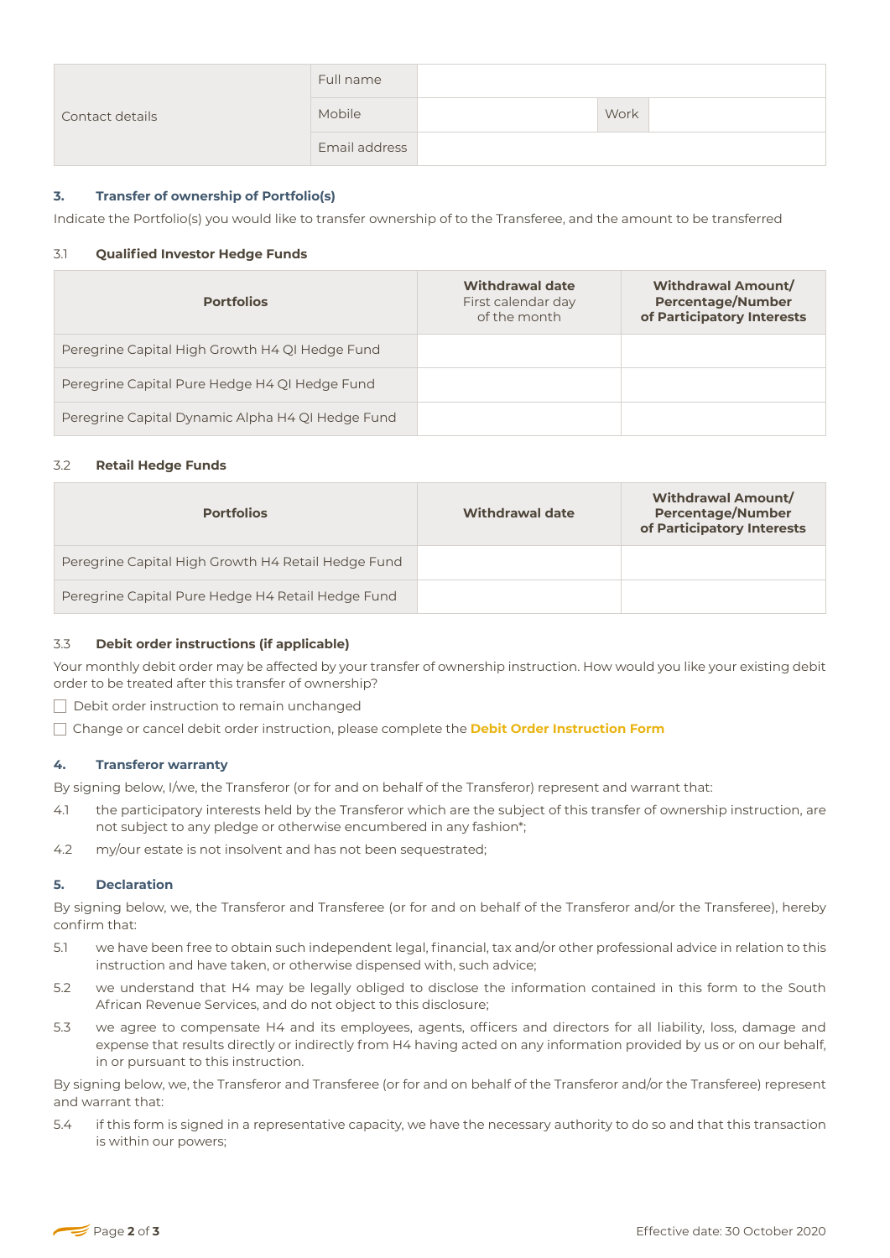| Contact details | Full name     |      |  |
|-----------------|---------------|------|--|
|                 | Mobile        | Work |  |
|                 | Email address |      |  |

# **3. Transfer of ownership of Portfolio(s)**

Indicate the Portfolio(s) you would like to transfer ownership of to the Transferee, and the amount to be transferred

#### 3.1 **Qualified Investor Hedge Funds**

| <b>Portfolios</b>                                | <b>Withdrawal date</b><br>First calendar day<br>of the month | <b>Withdrawal Amount/</b><br><b>Percentage/Number</b><br>of Participatory Interests |
|--------------------------------------------------|--------------------------------------------------------------|-------------------------------------------------------------------------------------|
| Peregrine Capital High Growth H4 QI Hedge Fund   |                                                              |                                                                                     |
| Peregrine Capital Pure Hedge H4 QI Hedge Fund    |                                                              |                                                                                     |
| Peregrine Capital Dynamic Alpha H4 QI Hedge Fund |                                                              |                                                                                     |

## 3.2 **Retail Hedge Funds**

| Peregrine Capital Pure Hedge H4 QI Hedge Fund<br>Peregrine Capital Dynamic Alpha H4 QI Hedge Fund |                        |                                                                                     |
|---------------------------------------------------------------------------------------------------|------------------------|-------------------------------------------------------------------------------------|
| 3.2<br><b>Retail Hedge Funds</b>                                                                  |                        |                                                                                     |
| <b>Portfolios</b>                                                                                 | <b>Withdrawal date</b> | <b>Withdrawal Amount/</b><br><b>Percentage/Number</b><br>of Participatory Interests |
| Peregrine Capital High Growth H4 Retail Hedge Fund                                                |                        |                                                                                     |
| Peregrine Capital Pure Hedge H4 Retail Hedge Fund                                                 |                        |                                                                                     |
|                                                                                                   |                        |                                                                                     |

### 3.3 **Debit order instructions (if applicable)**

Your monthly debit order may be affected by your transfer of ownership instruction. How would you like your existing debit order to be treated after this transfer of ownership?

**Debit order instruction to remain unchanged** 

Change or cancel debit order instruction, please complete the **Debit Order Instruction Form**

#### **4. Transferor warranty**

By signing below, I/we, the Transferor (or for and on behalf of the Transferor) represent and warrant that:

- 4.1 the participatory interests held by the Transferor which are the subject of this transfer of ownership instruction, are not subject to any pledge or otherwise encumbered in any fashion\*;
- 4.2 my/our estate is not insolvent and has not been sequestrated;

#### **5. Declaration**

By signing below, we, the Transferor and Transferee (or for and on behalf of the Transferor and/or the Transferee), hereby confirm that:

- 5.1 we have been free to obtain such independent legal, financial, tax and/or other professional advice in relation to this instruction and have taken, or otherwise dispensed with, such advice;
- 5.2 we understand that H4 may be legally obliged to disclose the information contained in this form to the South African Revenue Services, and do not object to this disclosure;
- 5.3 we agree to compensate H4 and its employees, agents, officers and directors for all liability, loss, damage and expense that results directly or indirectly from H4 having acted on any information provided by us or on our behalf, in or pursuant to this instruction.

By signing below, we, the Transferor and Transferee (or for and on behalf of the Transferor and/or the Transferee) represent and warrant that:

5.4 if this form is signed in a representative capacity, we have the necessary authority to do so and that this transaction is within our powers;